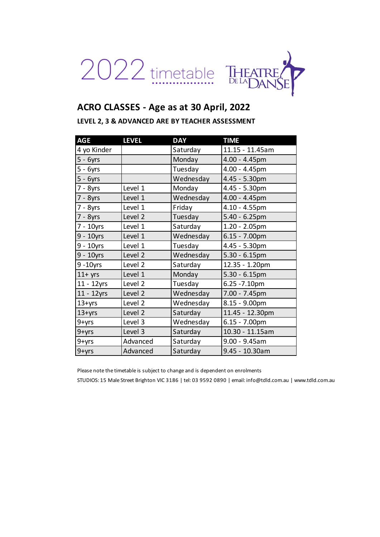

# **ACRO CLASSES - Age as at 30 April, 2022**

#### **LEVEL 2, 3 & ADVANCED ARE BY TEACHER ASSESSMENT**

| <b>AGE</b>    | <b>LEVEL</b>       | <b>DAY</b> | <b>TIME</b>      |
|---------------|--------------------|------------|------------------|
| 4 yo Kinder   |                    | Saturday   | 11.15 - 11.45am  |
| $5 - 6yrs$    |                    | Monday     | 4.00 - 4.45pm    |
| 5 - 6yrs      |                    | Tuesday    | 4.00 - 4.45pm    |
| $5 - 6yrs$    |                    | Wednesday  | 4.45 - 5.30pm    |
| 7 - 8yrs      | Level 1            | Monday     | 4.45 - 5.30pm    |
| 7 - 8yrs      | Level 1            | Wednesday  | $4.00 - 4.45$ pm |
| 7 - 8yrs      | Level 1            | Friday     | 4.10 - 4.55pm    |
| 7 - 8yrs      | Level 2            | Tuesday    | $5.40 - 6.25$ pm |
| 7 - 10yrs     | Level 1            | Saturday   | $1.20 - 2.05$ pm |
| $9 - 10$ yrs  | Level 1            | Wednesday  | $6.15 - 7.00$ pm |
| 9 - 10yrs     | Level 1            | Tuesday    | 4.45 - 5.30pm    |
| $9 - 10$ yrs  | Level 2            | Wednesday  | $5.30 - 6.15$ pm |
| $9 - 10$ yrs  | Level 2            | Saturday   | 12.35 - 1.20pm   |
| $11+$ yrs     | Level 1            | Monday     | $5.30 - 6.15$ pm |
| 11 - 12yrs    | Level 2            | Tuesday    | 6.25 - 7.10pm    |
| $11 - 12$ yrs | Level <sub>2</sub> | Wednesday  | 7.00 - 7.45pm    |
| $13 + yrs$    | Level <sub>2</sub> | Wednesday  | 8.15 - 9.00pm    |
| $13 + yrs$    | Level <sub>2</sub> | Saturday   | 11.45 - 12.30pm  |
| 9+yrs         | Level 3            | Wednesday  | $6.15 - 7.00$ pm |
| 9+yrs         | Level 3            | Saturday   | 10.30 - 11.15am  |
| 9+yrs         | Advanced           | Saturday   | $9.00 - 9.45$ am |
| 9+yrs         | Advanced           | Saturday   | 9.45 - 10.30am   |

Please note the timetable is subject to change and is dependent on enrolments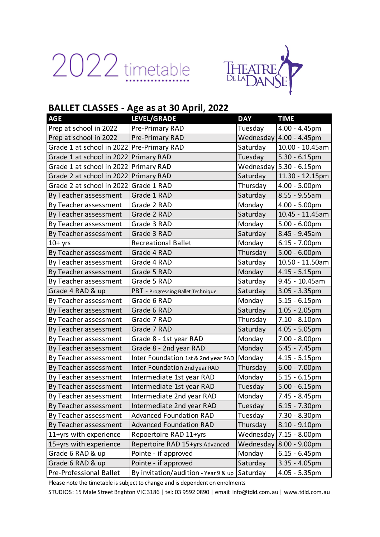



## **BALLET CLASSES - Age as at 30 April, 2022**

| <b>AGE</b>                                | LEVEL/GRADE                                  | <b>DAY</b> | <b>TIME</b>                 |
|-------------------------------------------|----------------------------------------------|------------|-----------------------------|
| Prep at school in 2022                    | Pre-Primary RAD                              | Tuesday    | 4.00 - 4.45pm               |
| Prep at school in 2022                    | Pre-Primary RAD                              |            | Wednesday $ 4.00 - 4.45$ pm |
| Grade 1 at school in 2022 Pre-Primary RAD |                                              | Saturday   | 10.00 - 10.45am             |
| Grade 1 at school in 2022                 | <b>Primary RAD</b>                           | Tuesday    | $5.30 - 6.15$ pm            |
| Grade 1 at school in 2022                 | <b>Primary RAD</b>                           |            | Wednesday   5.30 - 6.15pm   |
| Grade 2 at school in 2022                 | <b>Primary RAD</b>                           | Saturday   | 11.30 - 12.15pm             |
| Grade 2 at school in 2022                 | Grade 1 RAD                                  | Thursday   | $4.00 - 5.00$ pm            |
| By Teacher assessment                     | Grade 1 RAD                                  | Saturday   | 8.55 - 9.55am               |
| By Teacher assessment                     | Grade 2 RAD                                  | Monday     | 4.00 - 5.00pm               |
| By Teacher assessment                     | Grade 2 RAD                                  | Saturday   | 10.45 - 11.45am             |
| By Teacher assessment                     | Grade 3 RAD                                  | Monday     | $5.00 - 6.00$ pm            |
| By Teacher assessment                     | Grade 3 RAD                                  | Saturday   | 8.45 - 9.45am               |
| $10+$ yrs                                 | <b>Recreational Ballet</b>                   | Monday     | $6.15 - 7.00$ pm            |
| By Teacher assessment                     | Grade 4 RAD                                  | Thursday   | $5.00 - 6.00$ pm            |
| By Teacher assessment                     | Grade 4 RAD                                  | Saturday   | 10.50 - 11.50am             |
| By Teacher assessment                     | Grade 5 RAD                                  | Monday     | $4.15 - 5.15$ pm            |
| By Teacher assessment                     | Grade 5 RAD                                  | Saturday   | 9.45 - 10.45am              |
| Grade 4 RAD & up                          | PBT - Progressing Ballet Technique           | Saturday   | $3.05 - 3.35$ pm            |
| By Teacher assessment                     | Grade 6 RAD                                  | Monday     | $5.15 - 6.15$ pm            |
| By Teacher assessment                     | Grade 6 RAD                                  | Saturday   | $1.05 - 2.05$ pm            |
| By Teacher assessment                     | Grade 7 RAD                                  | Thursday   | $7.10 - 8.10$ pm            |
| By Teacher assessment                     | Grade 7 RAD                                  | Saturday   | $4.05 - 5.05$ pm            |
| By Teacher assessment                     | Grade 8 - 1st year RAD                       | Monday     | $7.00 - 8.00pm$             |
| By Teacher assessment                     | Grade 8 - 2nd year RAD                       | Monday     | $6.45 - 7.45$ pm            |
| By Teacher assessment                     | Inter Foundation 1st & 2nd year RAD   Monday |            | $4.15 - 5.15$ pm            |
| By Teacher assessment                     | Inter Foundation 2nd year RAD                | Thursday   | $6.00 - 7.00$ pm            |
| By Teacher assessment                     | Intermediate 1st year RAD                    | Monday     | $5.15 - 6.15$ pm            |
| By Teacher assessment                     | Intermediate 1st year RAD                    | Tuesday    | $5.00 - 6.15$ pm            |
| By Teacher assessment                     | Intermediate 2nd year RAD                    | Monday     | 7.45 - 8.45pm               |
| By Teacher assessment                     | Intermediate 2nd year RAD                    | Tuesday    | $6.15 - 7.30$ pm            |
| By Teacher assessment                     | <b>Advanced Foundation RAD</b>               | Tuesday    | 7.30 - 8.30pm               |
| By Teacher assessment                     | <b>Advanced Foundation RAD</b>               | Thursday   | $8.10 - 9.10$ pm            |
| 11+yrs with experience                    | Repoertoire RAD 11+yrs                       | Wednesday  | $7.15 - 8.00 \text{pm}$     |
| 15+yrs with experience                    | Repertoire RAD 15+yrs Advanced               | Wednesday  | 8.00 - 9.00pm               |
| Grade 6 RAD & up                          | Pointe - if approved                         | Monday     | $6.15 - 6.45$ pm            |
| Grade 6 RAD & up                          | Pointe - if approved                         | Saturday   | $3.35 - 4.05$ pm            |
| Pre-Professional Ballet                   | By invitation/audition - Year 9 & up         | Saturday   | $4.05 - 5.35$ pm            |

Please note the timetable is subject to change and is dependent on enrolments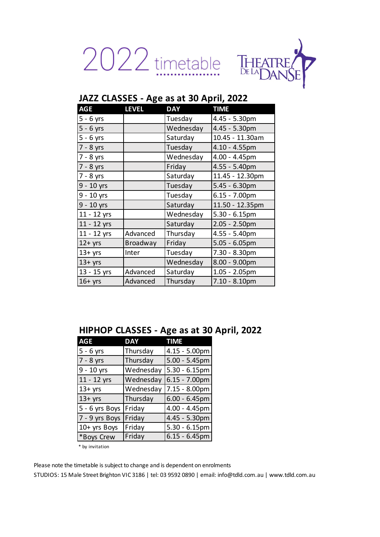2022 timetable THEATRE



| <b>AGE</b>  | <b>LEVEL</b> | <b>DAY</b> | <b>TIME</b>      |
|-------------|--------------|------------|------------------|
| $5 - 6$ yrs |              | Tuesday    | 4.45 - 5.30pm    |
| $5 - 6$ yrs |              | Wednesday  | 4.45 - 5.30pm    |
| $5 - 6$ yrs |              | Saturday   | 10.45 - 11.30am  |
| 7 - 8 yrs   |              | Tuesday    | $4.10 - 4.55$ pm |
| 7 - 8 yrs   |              | Wednesday  | 4.00 - 4.45pm    |
| 7 - 8 yrs   |              | Friday     | 4.55 - 5.40pm    |
| 7 - 8 yrs   |              | Saturday   | 11.45 - 12.30pm  |
| 9 - 10 yrs  |              | Tuesday    | $5.45 - 6.30pm$  |
| 9 - 10 yrs  |              | Tuesday    | $6.15 - 7.00$ pm |
| 9 - 10 yrs  |              | Saturday   | 11.50 - 12.35pm  |
| 11 - 12 yrs |              | Wednesday  | $5.30 - 6.15$ pm |
| 11 - 12 yrs |              | Saturday   | $2.05 - 2.50pm$  |
| 11 - 12 yrs | Advanced     | Thursday   | 4.55 - 5.40pm    |
| $12+$ yrs   | Broadway     | Friday     | $5.05 - 6.05$ pm |
| $13+$ yrs   | Inter        | Tuesday    | 7.30 - 8.30pm    |
| $13+$ yrs   |              | Wednesday  | 8.00 - 9.00pm    |
| 13 - 15 yrs | Advanced     | Saturday   | $1.05 - 2.05$ pm |
| $16+$ yrs   | Advanced     | Thursday   | $7.10 - 8.10$ pm |

# **JAZZ CLASSES - Age as at 30 April, 2022**

### **HIPHOP CLASSES - Age as at 30 April, 2022**

| <b>AGE</b>     | <b>DAY</b> | TIME             |
|----------------|------------|------------------|
| $5 - 6$ yrs    | Thursday   | $4.15 - 5.00$ pm |
| 7 - 8 yrs      | Thursday   | $5.00 - 5.45$ pm |
| 9 - 10 yrs     | Wednesday  | $5.30 - 6.15$ pm |
| 11 - 12 yrs    | Wednesday  | $6.15 - 7.00$ pm |
| $13+$ yrs      | Wednesday  | 7.15 - 8.00pm    |
| $13 + yrs$     | Thursday   | $6.00 - 6.45$ pm |
| 5 - 6 yrs Boys | Friday     | 4.00 - 4.45pm    |
| 7 - 9 yrs Boys | Friday     | 4.45 - 5.30pm    |
| 10+ yrs Boys   | Friday     | $5.30 - 6.15$ pm |
| *Boys Crew     | Friday     | $6.15 - 6.45$ pm |

\* by invitation

Please note the timetable is subject to change and is dependent on enrolments STUDIOS: 15 Male Street Brighton VIC 3186 | tel: 03 9592 0890 | email: info@tdld.com.au | www.tdld.com.au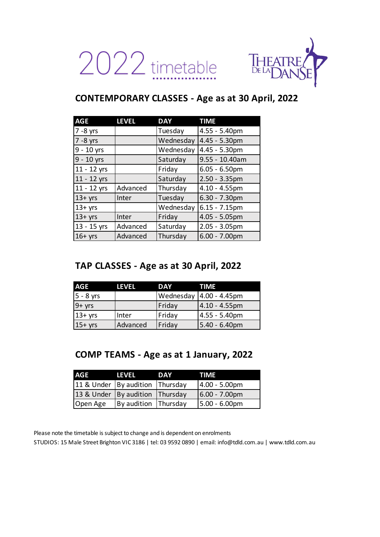2022 timetable



# **CONTEMPORARY CLASSES - Age as at 30 April, 2022**

| <b>AGE</b>  | <b>LEVEL</b> | <b>DAY</b> | <b>TIME</b>      |
|-------------|--------------|------------|------------------|
| $7 - 8$ yrs |              | Tuesday    | 4.55 - 5.40pm    |
| $7 - 8$ yrs |              | Wednesday  | 4.45 - 5.30pm    |
| 9 - 10 yrs  |              | Wednesday  | 4.45 - 5.30pm    |
| 9 - 10 yrs  |              | Saturday   | 9.55 - 10.40am   |
| 11 - 12 yrs |              | Friday     | $6.05 - 6.50$ pm |
| 11 - 12 yrs |              | Saturday   | $2.50 - 3.35$ pm |
| 11 - 12 yrs | Advanced     | Thursday   | 4.10 - 4.55pm    |
| $13 + yrs$  | Inter        | Tuesday    | $6.30 - 7.30$ pm |
| $13+$ yrs   |              | Wednesday  | $6.15 - 7.15$ pm |
| $13 + yrs$  | Inter        | Friday     | 4.05 - 5.05pm    |
| 13 - 15 yrs | Advanced     | Saturday   | $2.05 - 3.05$ pm |
| $16+$ yrs   | Advanced     | Thursday   | $6.00 - 7.00$ pm |

# **TAP CLASSES - Age as at 30 April, 2022**

| AGE         | <b>LEVEL</b> | <b>DAY</b> | TIME             |
|-------------|--------------|------------|------------------|
| $5 - 8$ yrs |              | Wednesday  | $4.00 - 4.45$ pm |
| $9 + yrs$   |              | Friday     | $4.10 - 4.55$ pm |
| $13+$ yrs   | Inter        | Friday     | 4.55 - 5.40pm    |
| $15+$ yrs   | Advanced     | Friday     | 5.40 - 6.40pm    |

# **COMP TEAMS - Age as at 1 January, 2022**

| <b>AGE</b>                          | LEVEL                | <b>DAY</b> | <b>TIME</b>     |
|-------------------------------------|----------------------|------------|-----------------|
| 11 & Under By audition Thursday     |                      |            | $4.00 - 5.00pm$ |
| 13 & Under   By audition   Thursday |                      |            | $6.00 - 7.00pm$ |
| Open Age                            | By audition Thursday |            | $5.00 - 6.00pm$ |

Please note the timetable is subject to change and is dependent on enrolments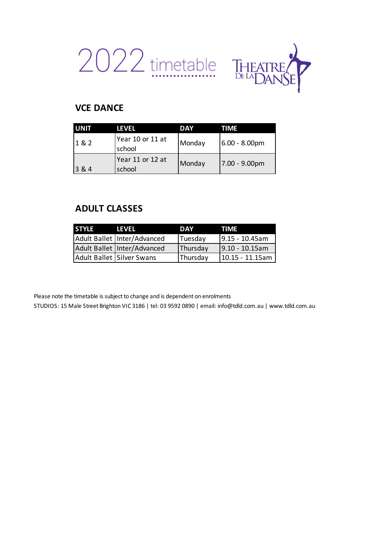



## **VCE DANCE**

| <b>UNIT</b> | LEVEL                      | DAY    | TIME              |
|-------------|----------------------------|--------|-------------------|
| 1&2         | Year 10 or 11 at<br>school | Monday | $6.00 - 8.00pm$   |
| 3 & 4       | Year 11 or 12 at<br>school | Monday | $ 7.00 - 9.00$ pm |

## **ADULT CLASSES**

| <b>STYLE</b> | <b>LEVEL</b>                  | DAY      | TIME               |
|--------------|-------------------------------|----------|--------------------|
|              | Adult Ballet   Inter/Advanced | Tuesday  | $9.15 - 10.45$ am  |
|              | Adult Ballet   Inter/Advanced | Thursday | $9.10 - 10.15$ am  |
|              | Adult Ballet Silver Swans     | Thursday | $10.15 - 11.15$ am |

Please note the timetable is subject to change and is dependent on enrolments